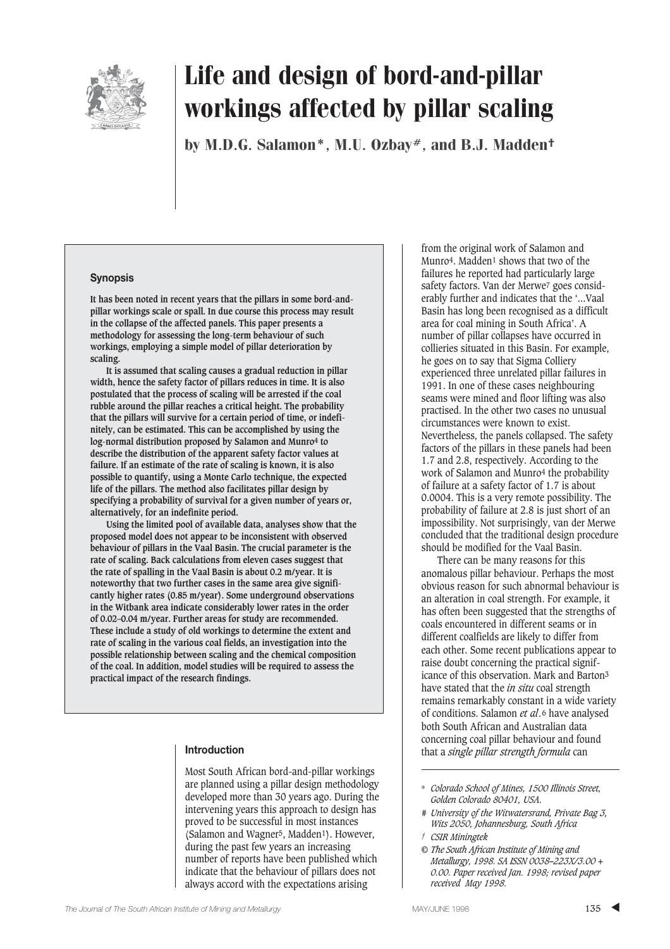

by M.D.G. Salamon\*, M.U. Ozbay#, and B.J. Madden<sup>†</sup>

#### **Synopsis**

**It has been noted in recent years that the pillars in some bord-andpillar workings scale or spall. In due course this process may result in the collapse of the affected panels. This paper presents a methodology for assessing the long-term behaviour of such workings, employing a simple model of pillar deterioration by scaling.**

**It is assumed that scaling causes a gradual reduction in pillar width, hence the safety factor of pillars reduces in time. It is also postulated that the process of scaling will be arrested if the coal rubble around the pillar reaches a critical height. The probability that the pillars will survive for a certain period of time, or indefinitely, can be estimated. This can be accomplished by using the log-normal distribution proposed by Salamon and Munro4 to describe the distribution of the apparent safety factor values at failure. If an estimate of the rate of scaling is known, it is also possible to quantify, using a Monte Carlo technique, the expected life of the pillars. The method also facilitates pillar design by specifying a probability of survival for a given number of years or, alternatively, for an indefinite period.**

**Using the limited pool of available data, analyses show that the proposed model does not appear to be inconsistent with observed behaviour of pillars in the Vaal Basin. The crucial parameter is the rate of scaling. Back calculations from eleven cases suggest that the rate of spalling in the Vaal Basin is about 0.2 m/year. It is noteworthy that two further cases in the same area give significantly higher rates (0.85 m/year). Some underground observations in the Witbank area indicate considerably lower rates in the order of 0.02–0.04 m/year. Further areas for study are recommended. These include a study of old workings to determine the extent and rate of scaling in the various coal fields, an investigation into the possible relationship between scaling and the chemical composition of the coal. In addition, model studies will be required to assess the practical impact of the research findings.**

#### **Introduction**

Most South African bord-and-pillar workings are planned using a pillar design methodology developed more than 30 years ago. During the intervening years this approach to design has proved to be successful in most instances (Salamon and Wagner5, Madden1). However, during the past few years an increasing number of reports have been published which indicate that the behaviour of pillars does not always accord with the expectations arising

from the original work of Salamon and Munro<sup>4</sup>. Madden<sup>1</sup> shows that two of the failures he reported had particularly large safety factors. Van der Merwe7 goes considerably further and indicates that the '...Vaal Basin has long been recognised as a difficult area for coal mining in South Africa'. A number of pillar collapses have occurred in collieries situated in this Basin. For example, he goes on to say that Sigma Colliery experienced three unrelated pillar failures in 1991. In one of these cases neighbouring seams were mined and floor lifting was also practised. In the other two cases no unusual circumstances were known to exist. Nevertheless, the panels collapsed. The safety factors of the pillars in these panels had been 1.7 and 2.8, respectively. According to the work of Salamon and Munro4 the probability of failure at a safety factor of 1.7 is about 0.0004. This is a very remote possibility. The probability of failure at 2.8 is just short of an impossibility. Not surprisingly, van der Merwe concluded that the traditional design procedure should be modified for the Vaal Basin.

There can be many reasons for this anomalous pillar behaviour. Perhaps the most obvious reason for such abnormal behaviour is an alteration in coal strength. For example, it has often been suggested that the strengths of coals encountered in different seams or in different coalfields are likely to differ from each other. Some recent publications appear to raise doubt concerning the practical significance of this observation. Mark and Barton3 have stated that the *in situ* coal strength remains remarkably constant in a wide variety of conditions. Salamon *et al.*6 have analysed both South African and Australian data concerning coal pillar behaviour and found that a *single pillar strength formula* can

- *# University of the Witwatersrand, Private Bag 3, Wits 2050, Johannesburg, South Africa*
- *† CSIR Miningtek*
- *© The South African Institute of Mining and Metallurgy, 1998. SA ISSN 0038–223X/3.00 + 0.00. Paper received Jan. 1998; revised paper received May 1998.*

<sup>\*</sup> *Colorado School of Mines, 1500 Illinois Street, Golden Colorado 80401, USA.*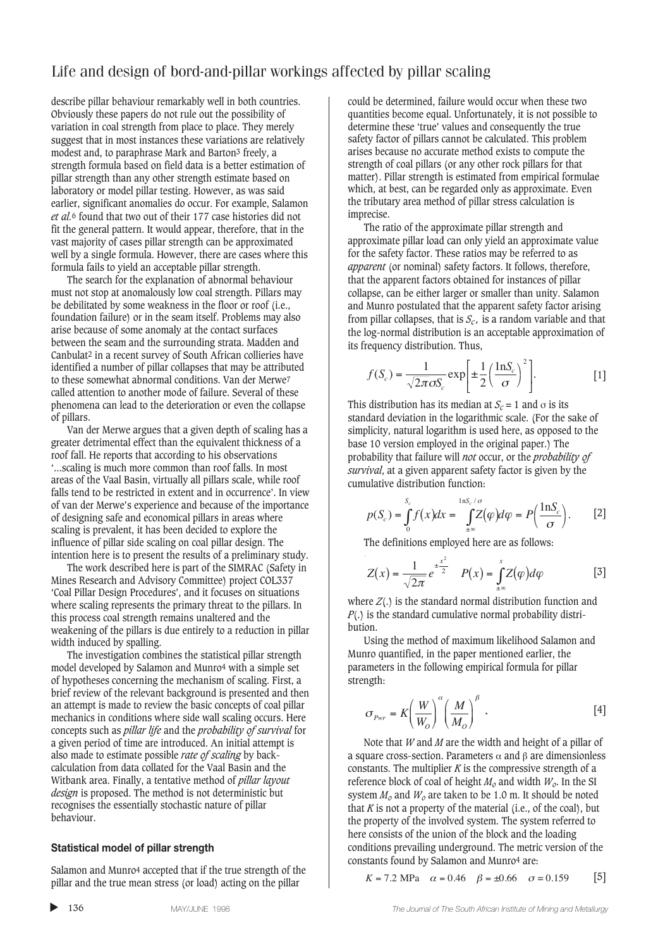describe pillar behaviour remarkably well in both countries. Obviously these papers do not rule out the possibility of variation in coal strength from place to place. They merely suggest that in most instances these variations are relatively modest and, to paraphrase Mark and Barton3 freely, a strength formula based on field data is a better estimation of pillar strength than any other strength estimate based on laboratory or model pillar testing. However, as was said earlier, significant anomalies do occur. For example, Salamon *et al.*6 found that two out of their 177 case histories did not fit the general pattern. It would appear, therefore, that in the vast majority of cases pillar strength can be approximated well by a single formula. However, there are cases where this formula fails to yield an acceptable pillar strength.

The search for the explanation of abnormal behaviour must not stop at anomalously low coal strength. Pillars may be debilitated by some weakness in the floor or roof (i.e., foundation failure) or in the seam itself. Problems may also arise because of some anomaly at the contact surfaces between the seam and the surrounding strata. Madden and Canbulat2 in a recent survey of South African collieries have identified a number of pillar collapses that may be attributed to these somewhat abnormal conditions. Van der Merwe7 called attention to another mode of failure. Several of these phenomena can lead to the deterioration or even the collapse of pillars.

Van der Merwe argues that a given depth of scaling has a greater detrimental effect than the equivalent thickness of a roof fall. He reports that according to his observations '...scaling is much more common than roof falls. In most areas of the Vaal Basin, virtually all pillars scale, while roof falls tend to be restricted in extent and in occurrence'. In view of van der Merwe's experience and because of the importance of designing safe and economical pillars in areas where scaling is prevalent, it has been decided to explore the influence of pillar side scaling on coal pillar design. The intention here is to present the results of a preliminary study.

The work described here is part of the SIMRAC (Safety in Mines Research and Advisory Committee) project COL337 'Coal Pillar Design Procedures', and it focuses on situations where scaling represents the primary threat to the pillars. In this process coal strength remains unaltered and the weakening of the pillars is due entirely to a reduction in pillar width induced by spalling.

The investigation combines the statistical pillar strength model developed by Salamon and Munro4 with a simple set of hypotheses concerning the mechanism of scaling. First, a brief review of the relevant background is presented and then an attempt is made to review the basic concepts of coal pillar mechanics in conditions where side wall scaling occurs. Here concepts such as *pillar life* and the *probability of survival* for a given period of time are introduced. An initial attempt is also made to estimate possible *rate of scaling* by backcalculation from data collated for the Vaal Basin and the Witbank area. Finally, a tentative method of *pillar layout design* is proposed. The method is not deterministic but recognises the essentially stochastic nature of pillar behaviour.

#### **Statistical model of pillar strength**

Salamon and Munro4 accepted that if the true strength of the pillar and the true mean stress (or load) acting on the pillar

could be determined, failure would occur when these two quantities become equal. Unfortunately, it is not possible to determine these 'true' values and consequently the true safety factor of pillars cannot be calculated. This problem arises because no accurate method exists to compute the strength of coal pillars (or any other rock pillars for that matter). Pillar strength is estimated from empirical formulae which, at best, can be regarded only as approximate. Even the tributary area method of pillar stress calculation is imprecise.

The ratio of the approximate pillar strength and approximate pillar load can only yield an approximate value for the safety factor. These ratios may be referred to as *apparent* (or nominal) safety factors. It follows, therefore, that the apparent factors obtained for instances of pillar collapse, can be either larger or smaller than unity. Salamon and Munro postulated that the apparent safety factor arising from pillar collapses, that is  $S_c$ , is a random variable and that the log-normal distribution is an acceptable approximation of its frequency distribution. Thus,

$$
f(S_c) = \frac{1}{\sqrt{2\pi}\sigma S_c} \exp\left[\pm\frac{1}{2}\left(\frac{\ln S_c}{\sigma}\right)^2\right].
$$
 [1]

This distribution has its median at  $S_c = 1$  and  $\sigma$  is its standard deviation in the logarithmic scale. (For the sake of simplicity, natural logarithm is used here, as opposed to the base 10 version employed in the original paper.) The probability that failure will *not* occur, or the *probability of survival*, at a given apparent safety factor is given by the cumulative distribution function:

$$
p(S_c) = \int_0^{S_c} f(x)dx = \int_{\pm \infty}^{\ln S_c/\sigma} Z(\varphi)d\varphi = P\left(\frac{\ln S_c}{\sigma}\right). \tag{2}
$$

The definitions employed here are as follows:

$$
Z(x) = \frac{1}{\sqrt{2\pi}} e^{\pm \frac{x^2}{2}} \quad P(x) = \int_{\pm \infty}^{x} Z(\varphi) d\varphi
$$
 [3]

where *Z*(.) is the standard normal distribution function and *P*(.) is the standard cumulative normal probability distribution.

Using the method of maximum likelihood Salamon and Munro quantified, in the paper mentioned earlier, the parameters in the following empirical formula for pillar strength:

$$
\sigma_{Pwr} = K \left(\frac{W}{W_O}\right)^{\alpha} \left(\frac{M}{M_O}\right)^{\beta} . \tag{4}
$$

Note that *W* and *M* are the width and height of a pillar of a square cross-section. Parameters α and β are dimensionless constants. The multiplier  $K$  is the compressive strength of a reference block of coal of height  $M_0$  and width  $W_0$ . In the SI system  $M<sub>o</sub>$  and  $W<sub>o</sub>$  are taken to be 1.0 m. It should be noted that  $K$  is not a property of the material (i.e., of the coal), but the property of the involved system. The system referred to here consists of the union of the block and the loading conditions prevailing underground. The metric version of the constants found by Salamon and Munro4 are:

$$
K = 7.2
$$
 MPa  $\alpha = 0.46$   $\beta = \pm 0.66$   $\sigma = 0.159$  [5]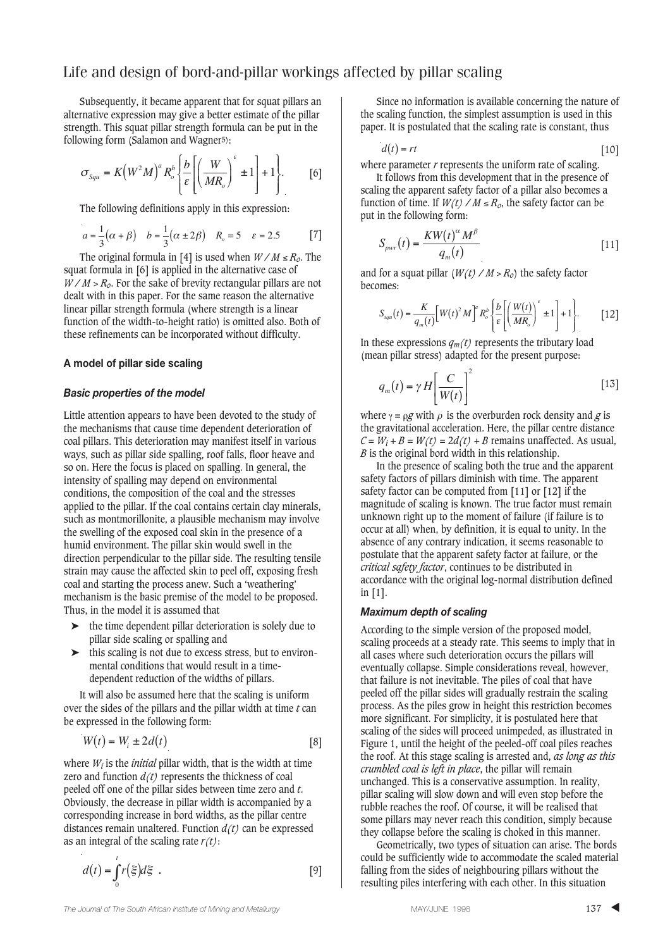Subsequently, it became apparent that for squat pillars an alternative expression may give a better estimate of the pillar strength. This squat pillar strength formula can be put in the following form (Salamon and Wagner<sup>5)</sup>:

$$
\sigma_{Squ} = K \left( W^2 M \right)^a R_o^b \left\{ \frac{b}{\varepsilon} \left[ \left( \frac{W}{M R_o} \right)^{\varepsilon} \pm 1 \right] + 1 \right\}.
$$
 [6]

The following definitions apply in this expression:

$$
a = \frac{1}{3}(\alpha + \beta) \quad b = \frac{1}{3}(\alpha \pm 2\beta) \quad R_o = 5 \quad \varepsilon = 2.5 \tag{7}
$$

The original formula in [4] is used when *W / M* ≤ *Ro*. The squat formula in [6] is applied in the alternative case of  $W/M > R_o$ . For the sake of brevity rectangular pillars are not dealt with in this paper. For the same reason the alternative linear pillar strength formula (where strength is a linear function of the width-to-height ratio) is omitted also. Both of these refinements can be incorporated without difficulty.

#### **A model of pillar side scaling**

#### *Basic properties of the model*

Little attention appears to have been devoted to the study of the mechanisms that cause time dependent deterioration of coal pillars. This deterioration may manifest itself in various ways, such as pillar side spalling, roof falls, floor heave and so on. Here the focus is placed on spalling. In general, the intensity of spalling may depend on environmental conditions, the composition of the coal and the stresses applied to the pillar. If the coal contains certain clay minerals, such as montmorillonite, a plausible mechanism may involve the swelling of the exposed coal skin in the presence of a humid environment. The pillar skin would swell in the direction perpendicular to the pillar side. The resulting tensile strain may cause the affected skin to peel off, exposing fresh coal and starting the process anew. Such a 'weathering' mechanism is the basic premise of the model to be proposed. Thus, in the model it is assumed that

- ➤ the time dependent pillar deterioration is solely due to pillar side scaling or spalling and
- ➤ this scaling is not due to excess stress, but to environmental conditions that would result in a timedependent reduction of the widths of pillars.

It will also be assumed here that the scaling is uniform over the sides of the pillars and the pillar width at time *t* can be expressed in the following form:

$$
W(t) = W_i \pm 2d(t) \tag{8}
$$

where  $W_i$  is the *initial* pillar width, that is the width at time zero and function  $d(t)$  represents the thickness of coal peeled off one of the pillar sides between time zero and *t*. Obviously, the decrease in pillar width is accompanied by a corresponding increase in bord widths, as the pillar centre distances remain unaltered. Function *d(t)* can be expressed as an integral of the scaling rate *r(t)*:

$$
d(t) = \int_0^t r(\xi) d\xi . \qquad [9]
$$

Since no information is available concerning the nature of the scaling function, the simplest assumption is used in this paper. It is postulated that the scaling rate is constant, thus

$$
d(t) = rt
$$
 [10]

where parameter *r* represents the uniform rate of scaling.

It follows from this development that in the presence of scaling the apparent safety factor of a pillar also becomes a function of time. If  $W(t)$  /  $M \le R_o$ , the safety factor can be put in the following form:

$$
S_{\scriptscriptstyle{pwr}}(t) = \frac{KW(t)^{\alpha}M^{\beta}}{q_m(t)} \tag{11}
$$

and for a squat pillar  $(W(t) / M > R_0)$  the safety factor becomes:

$$
S_{sgu}(t) = \frac{K}{q_m(t)} \Big[ W(t)^2 M \Big]^a R_o^b \Bigg\{ \frac{b}{\varepsilon} \Bigg[ \Big( \frac{W(t)}{M R_o} \Big)^{\varepsilon} \pm 1 \Bigg] + 1 \Bigg\}.
$$
 [12]

In these expressions  $q_m(t)$  represents the tributary load (mean pillar stress) adapted for the present purpose:

$$
q_m(t) = \gamma H \left[ \frac{C}{W(t)} \right]^2 \tag{13}
$$

where  $\gamma = \rho g$  with  $\rho$  is the overburden rock density and *g* is the gravitational acceleration. Here, the pillar centre distance  $C = W_i + B = W(t) = 2d(t) + B$  remains unaffected. As usual, *B* is the original bord width in this relationship.

In the presence of scaling both the true and the apparent safety factors of pillars diminish with time. The apparent safety factor can be computed from [11] or [12] if the magnitude of scaling is known. The true factor must remain unknown right up to the moment of failure (if failure is to occur at all) when, by definition, it is equal to unity. In the absence of any contrary indication, it seems reasonable to postulate that the apparent safety factor at failure, or the *critical safety factor*, continues to be distributed in accordance with the original log-normal distribution defined in [1].

#### *Maximum depth of scaling*

According to the simple version of the proposed model, scaling proceeds at a steady rate. This seems to imply that in all cases where such deterioration occurs the pillars will eventually collapse. Simple considerations reveal, however, that failure is not inevitable. The piles of coal that have peeled off the pillar sides will gradually restrain the scaling process. As the piles grow in height this restriction becomes more significant. For simplicity, it is postulated here that scaling of the sides will proceed unimpeded, as illustrated in Figure 1, until the height of the peeled-off coal piles reaches the roof. At this stage scaling is arrested and, *as long as this crumbled coal is left in place*, the pillar will remain unchanged. This is a conservative assumption. In reality, pillar scaling will slow down and will even stop before the rubble reaches the roof. Of course, it will be realised that some pillars may never reach this condition, simply because they collapse before the scaling is choked in this manner.

Geometrically, two types of situation can arise. The bords could be sufficiently wide to accommodate the scaled material falling from the sides of neighbouring pillars without the resulting piles interfering with each other. In this situation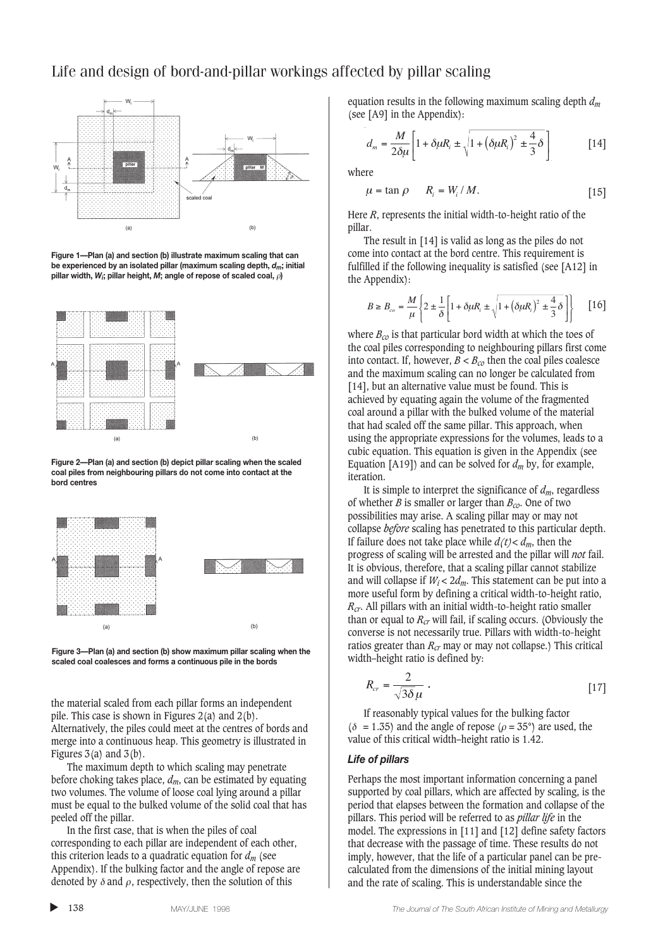

**Figure 1—Plan (a) and section (b) illustrate maximum scaling that can be experienced by an isolated pillar (maximum scaling depth,** *dm***; initial pillar width,** *Wi***; pillar height,** *M***; angle of repose of scaled coal,** ρ**)**



**Figure 2—Plan (a) and section (b) depict pillar scaling when the scaled coal piles from neighbouring pillars do not come into contact at the bord centres**





the material scaled from each pillar forms an independent pile. This case is shown in Figures  $2(a)$  and  $2(b)$ . Alternatively, the piles could meet at the centres of bords and merge into a continuous heap. This geometry is illustrated in Figures  $3(a)$  and  $3(b)$ .

The maximum depth to which scaling may penetrate before choking takes place,  $d_m$ , can be estimated by equating two volumes. The volume of loose coal lying around a pillar must be equal to the bulked volume of the solid coal that has peeled off the pillar.

In the first case, that is when the piles of coal corresponding to each pillar are independent of each other, this criterion leads to a quadratic equation for *dm* (see Appendix). If the bulking factor and the angle of repose are denoted by  $\delta$  and  $\rho$ , respectively, then the solution of this

equation results in the following maximum scaling depth *dm* (see [A9] in the Appendix):

$$
d_m = \frac{M}{2\delta\mu} \left[ 1 + \delta\mu R_i \pm \sqrt{1 + \left(\delta\mu R_i\right)^2 \pm \frac{4}{3}\delta} \right] \tag{14}
$$

where

$$
\mu = \tan \rho \qquad R_i = W_i / M. \tag{15}
$$

Here *R*, represents the initial width-to-height ratio of the pillar.

The result in [14] is valid as long as the piles do not come into contact at the bord centre. This requirement is fulfilled if the following inequality is satisfied (see [A12] in the Appendix):

$$
B \ge B_{co} = \frac{M}{\mu} \left\{ 2 \pm \frac{1}{\delta} \left[ 1 + \delta \mu R_i \pm \sqrt{1 + \left( \delta \mu R_i \right)^2 \pm \frac{4}{3} \delta} \right] \right\} \qquad [16]
$$

where *Bco* is that particular bord width at which the toes of the coal piles corresponding to neighbouring pillars first come into contact. If, however,  $B < B_{co}$  then the coal piles coalesce and the maximum scaling can no longer be calculated from [14], but an alternative value must be found. This is achieved by equating again the volume of the fragmented coal around a pillar with the bulked volume of the material that had scaled off the same pillar. This approach, when using the appropriate expressions for the volumes, leads to a cubic equation. This equation is given in the Appendix (see Equation [A19]) and can be solved for  $d_m$  by, for example, iteration.

It is simple to interpret the significance of  $d_m$ , regardless of whether *B* is smaller or larger than  $B_{co}$ . One of two possibilities may arise. A scaling pillar may or may not collapse *before* scaling has penetrated to this particular depth. If failure does not take place while  $d(t) < d_m$ , then the progress of scaling will be arrested and the pillar will *not* fail. It is obvious, therefore, that a scaling pillar cannot stabilize and will collapse if  $W_i < 2d_m$ . This statement can be put into a more useful form by defining a critical width-to-height ratio, *Rcr*. All pillars with an initial width-to-height ratio smaller than or equal to *Rcr* will fail, if scaling occurs. (Obviously the converse is not necessarily true. Pillars with width-to-height ratios greater than  $R_{cr}$  may or may not collapse.) This critical width–height ratio is defined by:

$$
R_{cr} = \frac{2}{\sqrt{3\delta\,\mu}}\,. \tag{17}
$$

If reasonably typical values for the bulking factor ( $\delta$  = 1.35) and the angle of repose ( $\rho$  = 35°) are used, the value of this critical width–height ratio is 1.42.

#### *Life of pillars*

Perhaps the most important information concerning a panel supported by coal pillars, which are affected by scaling, is the period that elapses between the formation and collapse of the pillars. This period will be referred to as *pillar life* in the model. The expressions in [11] and [12] define safety factors that decrease with the passage of time. These results do not imply, however, that the life of a particular panel can be precalculated from the dimensions of the initial mining layout and the rate of scaling. This is understandable since the

▲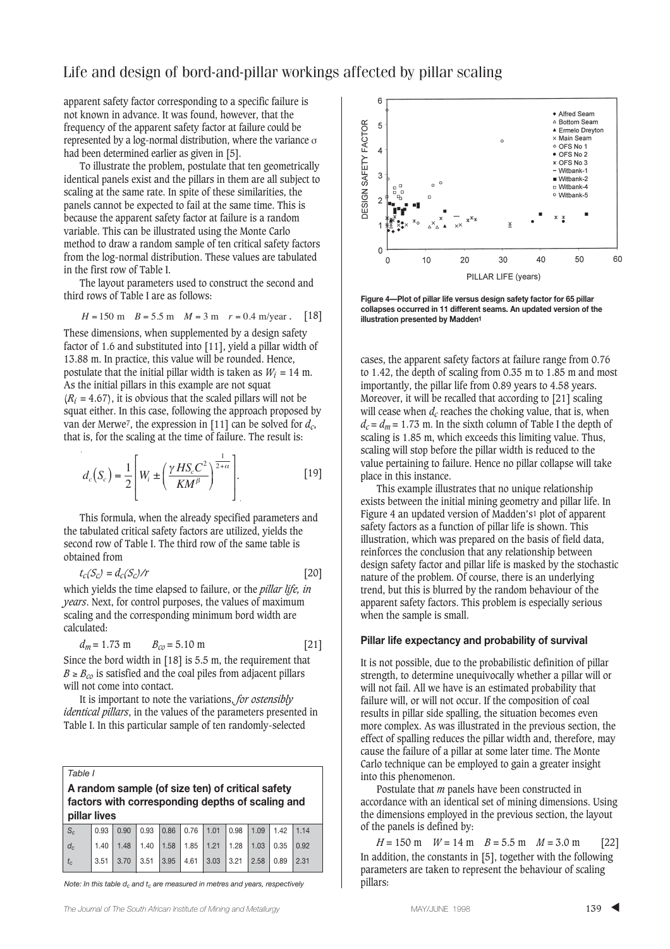apparent safety factor corresponding to a specific failure is not known in advance. It was found, however, that the frequency of the apparent safety factor at failure could be represented by a log-normal distribution, where the variance σ had been determined earlier as given in [5].

To illustrate the problem, postulate that ten geometrically identical panels exist and the pillars in them are all subject to scaling at the same rate. In spite of these similarities, the panels cannot be expected to fail at the same time. This is because the apparent safety factor at failure is a random variable. This can be illustrated using the Monte Carlo method to draw a random sample of ten critical safety factors from the log-normal distribution. These values are tabulated in the first row of Table I.

The layout parameters used to construct the second and third rows of Table I are as follows:

$$
H = 150
$$
 m  $B = 5.5$  m  $M = 3$  m  $r = 0.4$  m/year. [18]

These dimensions, when supplemented by a design safety factor of 1.6 and substituted into [11], yield a pillar width of 13.88 m. In practice, this value will be rounded. Hence, postulate that the initial pillar width is taken as  $W_i = 14$  m. As the initial pillars in this example are not squat  $(R<sub>i</sub> = 4.67)$ , it is obvious that the scaled pillars will not be squat either. In this case, following the approach proposed by van der Merwe7, the expression in [11] can be solved for *dc*, that is, for the scaling at the time of failure. The result is:

$$
d_c(S_c) = \frac{1}{2} \left[ W_i \pm \left( \frac{\gamma \, HS_c C^2}{K M^{\beta}} \right)^{\frac{1}{2+\alpha}} \right].
$$
 [19]

This formula, when the already specified parameters and the tabulated critical safety factors are utilized, yields the second row of Table I. The third row of the same table is obtained from

$$
t_c(S_c) = d_c(S_c)/r
$$
 [20]

which yields the time elapsed to failure, or the *pillar life, in years*. Next, for control purposes, the values of maximum scaling and the corresponding minimum bord width are calculated:

$$
d_m = 1.73 \text{ m} \qquad B_{co} = 5.10 \text{ m} \tag{21}
$$

Since the bord width in [18] is 5.5 m, the requirement that  $B \geq B_{co}$  is satisfied and the coal piles from adjacent pillars will not come into contact.

It is important to note the variations, *for ostensibly identical pillars*, in the values of the parameters presented in Table I. In this particular sample of ten randomly-selected

*Table I*

**A random sample (of size ten) of critical safety factors with corresponding depths of scaling and pillar lives**

| $S_c$ | $0.93$ 0.90 0.93 0.86 0.76 1.01 0.98 1.09 1.42 1.14                                                                               |  |  |  |  |
|-------|-----------------------------------------------------------------------------------------------------------------------------------|--|--|--|--|
| $d_c$ | $\vert$ 1.40 $\vert$ 1.48 $\vert$ 1.40 $\vert$ 1.58 $\vert$ 1.85 $\vert$ 1.21 $\vert$ 1.28 $\vert$ 1.03 $\vert$ 0.35 $\vert$ 0.92 |  |  |  |  |
| $t_c$ |                                                                                                                                   |  |  |  |  |

*Note: In this table d<sub>c</sub> and t<sub>c</sub> are measured in metres and years, respectively* 



**Figure 4—Plot of pillar life versus design safety factor for 65 pillar collapses occurred in 11 different seams. An updated version of the** . **illustration presented by Madden1**

cases, the apparent safety factors at failure range from 0.76 to 1.42, the depth of scaling from 0.35 m to 1.85 m and most importantly, the pillar life from 0.89 years to 4.58 years. Moreover, it will be recalled that according to [21] scaling will cease when  $d_c$  reaches the choking value, that is, when  $d_c = d_m = 1.73$  m. In the sixth column of Table I the depth of scaling is 1.85 m, which exceeds this limiting value. Thus, scaling will stop before the pillar width is reduced to the value pertaining to failure. Hence no pillar collapse will take place in this instance.

This example illustrates that no unique relationship exists between the initial mining geometry and pillar life. In Figure 4 an updated version of Madden's1 plot of apparent safety factors as a function of pillar life is shown. This illustration, which was prepared on the basis of field data, reinforces the conclusion that any relationship between design safety factor and pillar life is masked by the stochastic nature of the problem. Of course, there is an underlying trend, but this is blurred by the random behaviour of the apparent safety factors. This problem is especially serious when the sample is small.

#### **Pillar life expectancy and probability of survival**

It is not possible, due to the probabilistic definition of pillar strength, to determine unequivocally whether a pillar will or will not fail. All we have is an estimated probability that failure will, or will not occur. If the composition of coal results in pillar side spalling, the situation becomes even more complex. As was illustrated in the previous section, the effect of spalling reduces the pillar width and, therefore, may cause the failure of a pillar at some later time. The Monte Carlo technique can be employed to gain a greater insight into this phenomenon.

Postulate that *m* panels have been constructed in accordance with an identical set of mining dimensions. Using the dimensions employed in the previous section, the layout of the panels is defined by:

 $H = 150 \text{ m}$   $W = 14 \text{ m}$   $B = 5.5 \text{ m}$   $M = 3.0 \text{ m}$  [22] In addition, the constants in [5], together with the following parameters are taken to represent the behaviour of scaling pillars: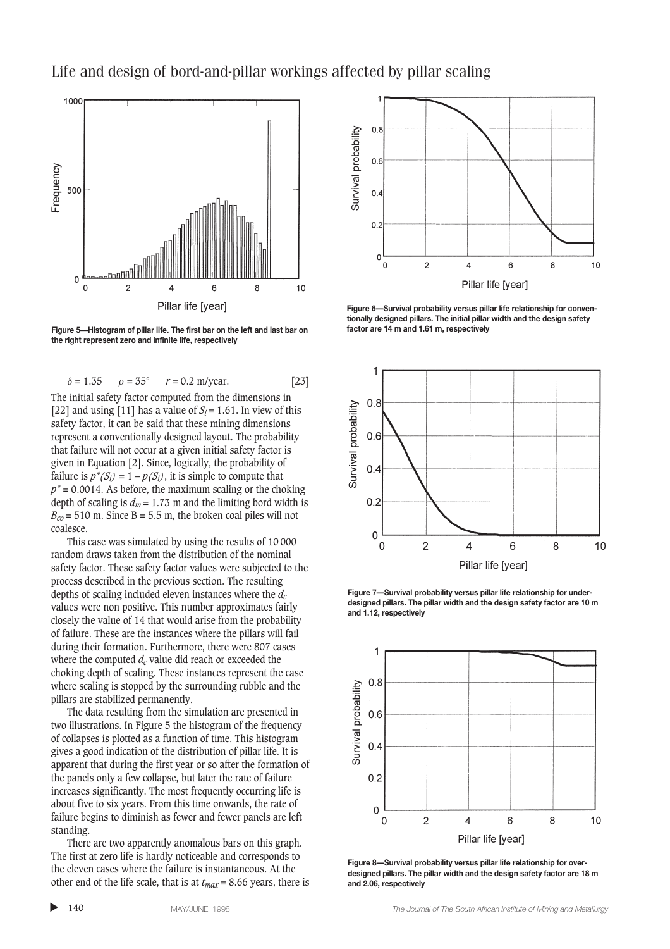

**Figure 5—Histogram of pillar life. The first bar on the left and last bar on the right represent zero and infinite life, respectively**

$$
\delta = 1.35
$$
  $\rho = 35^{\circ}$   $r = 0.2$  m/year. [23]

The initial safety factor computed from the dimensions in [22] and using [11] has a value of  $S_i = 1.61$ . In view of this safety factor, it can be said that these mining dimensions represent a conventionally designed layout. The probability that failure will not occur at a given initial safety factor is given in Equation [2]. Since, logically, the probability of failure is  $p^*(S_i) = 1 - p(S_i)$ , it is simple to compute that  $p^*$  = 0.0014. As before, the maximum scaling or the choking depth of scaling is  $d_m = 1.73$  m and the limiting bord width is  $B_{c0} = 510$  m. Since B = 5.5 m, the broken coal piles will not coalesce.

This case was simulated by using the results of 10 000 random draws taken from the distribution of the nominal safety factor. These safety factor values were subjected to the process described in the previous section. The resulting depths of scaling included eleven instances where the *dc* values were non positive. This number approximates fairly closely the value of 14 that would arise from the probability of failure. These are the instances where the pillars will fail during their formation. Furthermore, there were 807 cases where the computed  $d_c$  value did reach or exceeded the choking depth of scaling. These instances represent the case where scaling is stopped by the surrounding rubble and the pillars are stabilized permanently.

The data resulting from the simulation are presented in two illustrations. In Figure 5 the histogram of the frequency of collapses is plotted as a function of time. This histogram gives a good indication of the distribution of pillar life. It is apparent that during the first year or so after the formation of the panels only a few collapse, but later the rate of failure increases significantly. The most frequently occurring life is about five to six years. From this time onwards, the rate of failure begins to diminish as fewer and fewer panels are left standing.

There are two apparently anomalous bars on this graph. The first at zero life is hardly noticeable and corresponds to the eleven cases where the failure is instantaneous. At the other end of the life scale, that is at  $t_{max} = 8.66$  years, there is



**Figure 6—Survival probability versus pillar life relationship for conventionally designed pillars. The initial pillar width and the design safety factor are 14 m and 1.61 m, respectively**



**Figure 7—Survival probability versus pillar life relationship for underdesigned pillars. The pillar width and the design safety factor are 10 m and 1.12, respectively**



**Figure 8—Survival probability versus pillar life relationship for overdesigned pillars. The pillar width and the design safety factor are 18 m and 2.06, respectively**

▲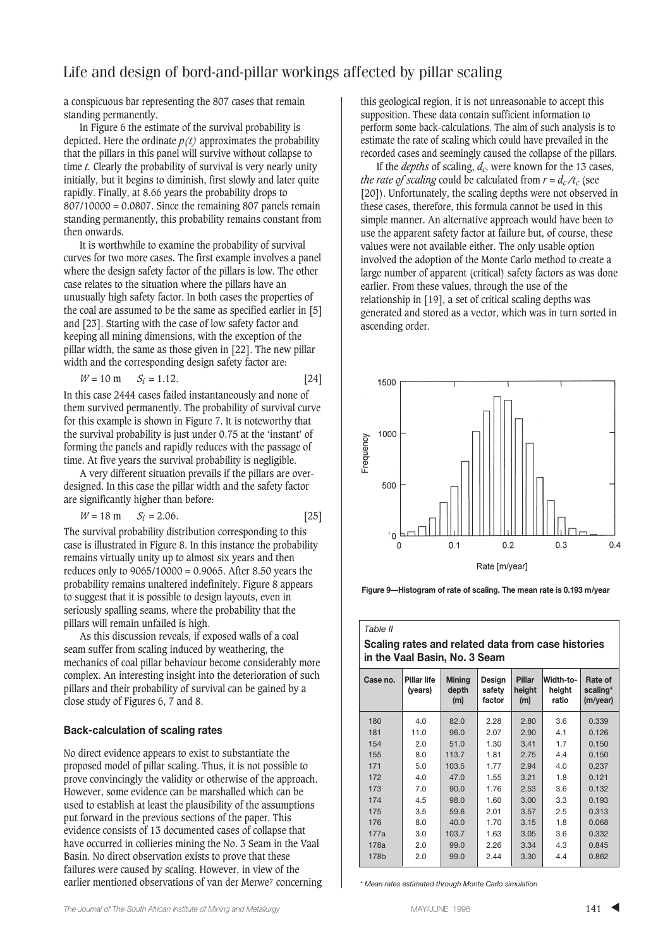a conspicuous bar representing the 807 cases that remain standing permanently.

In Figure 6 the estimate of the survival probability is depicted. Here the ordinate  $p(t)$  approximates the probability that the pillars in this panel will survive without collapse to time *t.* Clearly the probability of survival is very nearly unity initially, but it begins to diminish, first slowly and later quite rapidly. Finally, at 8.66 years the probability drops to  $807/10000 = 0.0807$ . Since the remaining 807 panels remain standing permanently, this probability remains constant from then onwards.

It is worthwhile to examine the probability of survival curves for two more cases. The first example involves a panel where the design safety factor of the pillars is low. The other case relates to the situation where the pillars have an unusually high safety factor. In both cases the properties of the coal are assumed to be the same as specified earlier in [5] and [23]. Starting with the case of low safety factor and keeping all mining dimensions, with the exception of the pillar width, the same as those given in [22]. The new pillar width and the corresponding design safety factor are:

$$
W = 10 \text{ m} \qquad S_i = 1.12. \tag{24}
$$

In this case 2444 cases failed instantaneously and none of them survived permanently. The probability of survival curve for this example is shown in Figure 7. It is noteworthy that the survival probability is just under 0.75 at the 'instant' of forming the panels and rapidly reduces with the passage of time. At five years the survival probability is negligible.

A very different situation prevails if the pillars are overdesigned. In this case the pillar width and the safety factor are significantly higher than before:

$$
W = 18 \text{ m} \qquad S_i = 2.06. \tag{25}
$$

The survival probability distribution corresponding to this case is illustrated in Figure 8. In this instance the probability remains virtually unity up to almost six years and then reduces only to 9065/10000 = 0.9065. After 8.50 years the probability remains unaltered indefinitely. Figure 8 appears to suggest that it is possible to design layouts, even in seriously spalling seams, where the probability that the pillars will remain unfailed is high.

As this discussion reveals, if exposed walls of a coal seam suffer from scaling induced by weathering, the mechanics of coal pillar behaviour become considerably more complex. An interesting insight into the deterioration of such pillars and their probability of survival can be gained by a close study of Figures 6, 7 and 8.

#### **Back-calculation of scaling rates**

No direct evidence appears to exist to substantiate the proposed model of pillar scaling. Thus, it is not possible to prove convincingly the validity or otherwise of the approach. However, some evidence can be marshalled which can be used to establish at least the plausibility of the assumptions put forward in the previous sections of the paper. This evidence consists of 13 documented cases of collapse that have occurred in collieries mining the No. 3 Seam in the Vaal Basin. No direct observation exists to prove that these failures were caused by scaling. However, in view of the earlier mentioned observations of van der Merwe7 concerning this geological region, it is not unreasonable to accept this supposition. These data contain sufficient information to perform some back-calculations. The aim of such analysis is to estimate the rate of scaling which could have prevailed in the recorded cases and seemingly caused the collapse of the pillars.

If the *depths* of scaling, *dc*, were known for the 13 cases, *the rate of scaling* could be calculated from  $r = d_c/t_c$  (see [20]). Unfortunately, the scaling depths were not observed in these cases, therefore, this formula cannot be used in this simple manner. An alternative approach would have been to use the apparent safety factor at failure but, of course, these values were not available either. The only usable option involved the adoption of the Monte Carlo method to create a large number of apparent (critical) safety factors as was done earlier. From these values, through the use of the relationship in [19], a set of critical scaling depths was generated and stored as a vector, which was in turn sorted in ascending order.



**Figure 9—Histogram of rate of scaling. The mean rate is 0.193 m/year**

### *Table II* **Scaling rates and related data from case histories in the Vaal Basin, No. 3 Seam**

| Case no. | Pillar life<br>(years) | <b>Mining</b><br>depth<br>(m) | Design<br>safety<br>factor | <b>Pillar</b><br>height<br>(m) | Width-to-<br>height<br>ratio | Rate of<br>scaling*<br>(m/year) |
|----------|------------------------|-------------------------------|----------------------------|--------------------------------|------------------------------|---------------------------------|
| 180      | 4.0                    | 82.0                          | 2.28                       | 2.80                           | 3.6                          | 0.339                           |
| 181      | 11.0                   | 96.0                          | 2.07                       | 2.90                           | 4.1                          | 0.126                           |
| 154      | 2.0                    | 51.0                          | 1.30                       | 3.41                           | 1.7                          | 0.150                           |
| 155      | 8.0                    | 113.7                         | 1.81                       | 2.75                           | 4.4                          | 0.150                           |
| 171      | 5.0                    | 103.5                         | 1.77                       | 2.94                           | 4.0                          | 0.237                           |
| 172      | 4.0                    | 47.0                          | 1.55                       | 3.21                           | 1.8                          | 0.121                           |
| 173      | 7.0                    | 90.0                          | 1.76                       | 2.53                           | 3.6                          | 0.132                           |
| 174      | 4.5                    | 98.0                          | 1.60                       | 3.00                           | 3.3                          | 0.193                           |
| 175      | 3.5                    | 59.6                          | 2.01                       | 3.57                           | 2.5                          | 0.313                           |
| 176      | 8.0                    | 40.0                          | 1.70                       | 3.15                           | 1.8                          | 0.068                           |
| 177a     | 3.0                    | 103.7                         | 1.63                       | 3.05                           | 3.6                          | 0.332                           |
| 178a     | 2.0                    | 99.0                          | 2.26                       | 3.34                           | 4.3                          | 0.845                           |
| 178b     | 2.0                    | 99.0                          | 2.44                       | 3.30                           | 4.4                          | 0.862                           |

*\* Mean rates estimated through Monte Carlo simulation*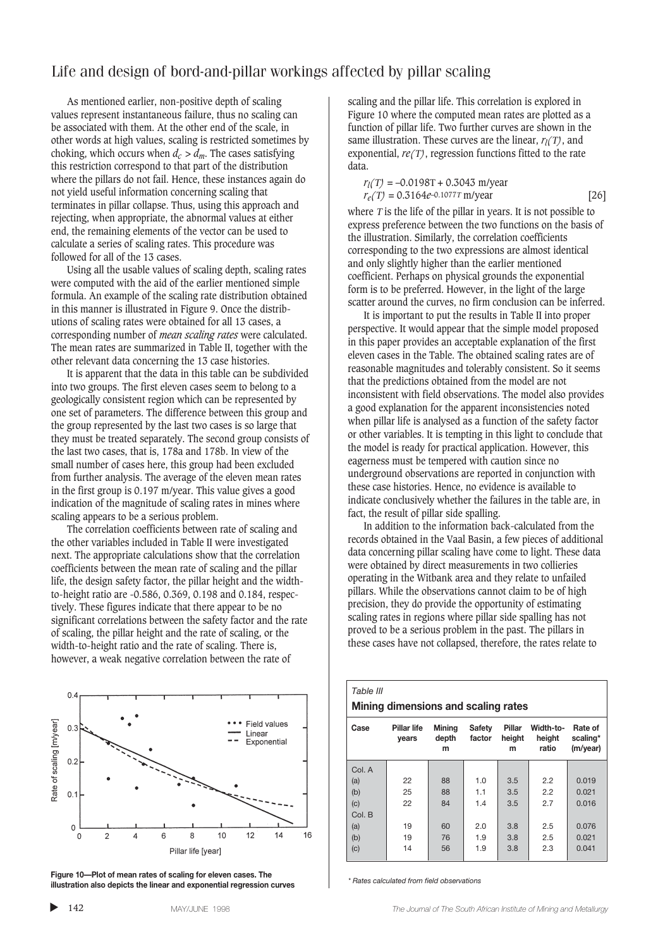As mentioned earlier, non-positive depth of scaling values represent instantaneous failure, thus no scaling can be associated with them. At the other end of the scale, in other words at high values, scaling is restricted sometimes by choking, which occurs when  $d_c > d_m$ . The cases satisfying this restriction correspond to that part of the distribution where the pillars do not fail. Hence, these instances again do not yield useful information concerning scaling that terminates in pillar collapse. Thus, using this approach and rejecting, when appropriate, the abnormal values at either end, the remaining elements of the vector can be used to calculate a series of scaling rates. This procedure was followed for all of the 13 cases.

Using all the usable values of scaling depth, scaling rates were computed with the aid of the earlier mentioned simple formula. An example of the scaling rate distribution obtained in this manner is illustrated in Figure 9. Once the distributions of scaling rates were obtained for all 13 cases, a corresponding number of *mean scaling rates* were calculated. The mean rates are summarized in Table II, together with the other relevant data concerning the 13 case histories.

It is apparent that the data in this table can be subdivided into two groups. The first eleven cases seem to belong to a geologically consistent region which can be represented by one set of parameters. The difference between this group and the group represented by the last two cases is so large that they must be treated separately. The second group consists of the last two cases, that is, 178a and 178b. In view of the small number of cases here, this group had been excluded from further analysis. The average of the eleven mean rates in the first group is 0.197 m/year. This value gives a good indication of the magnitude of scaling rates in mines where scaling appears to be a serious problem.

The correlation coefficients between rate of scaling and the other variables included in Table II were investigated next. The appropriate calculations show that the correlation coefficients between the mean rate of scaling and the pillar life, the design safety factor, the pillar height and the widthto-height ratio are -0.586, 0.369, 0.198 and 0.184, respectively. These figures indicate that there appear to be no significant correlations between the safety factor and the rate of scaling, the pillar height and the rate of scaling, or the width-to-height ratio and the rate of scaling. There is, however, a weak negative correlation between the rate of



**Figure 10—Plot of mean rates of scaling for eleven cases. The illustration also depicts the linear and exponential regression curves** *\* Rates calculated from field observations*

scaling and the pillar life. This correlation is explored in Figure 10 where the computed mean rates are plotted as a function of pillar life. Two further curves are shown in the same illustration. These curves are the linear, *rl(*Τ*)*, and exponential, *re(*Τ*)*, regression functions fitted to the rate data.

$$
r_l(T) = -0.0198T + 0.3043 \text{ m/year}
$$
  

$$
r_e(T) = 0.3164e^{-0.1077T} \text{ m/year}
$$
 [26]

where  $T$  is the life of the pillar in years. It is not possible to express preference between the two functions on the basis of the illustration. Similarly, the correlation coefficients corresponding to the two expressions are almost identical and only slightly higher than the earlier mentioned coefficient. Perhaps on physical grounds the exponential form is to be preferred. However, in the light of the large scatter around the curves, no firm conclusion can be inferred.

It is important to put the results in Table II into proper perspective. It would appear that the simple model proposed in this paper provides an acceptable explanation of the first eleven cases in the Table. The obtained scaling rates are of reasonable magnitudes and tolerably consistent. So it seems that the predictions obtained from the model are not inconsistent with field observations. The model also provides a good explanation for the apparent inconsistencies noted when pillar life is analysed as a function of the safety factor or other variables. It is tempting in this light to conclude that the model is ready for practical application. However, this eagerness must be tempered with caution since no underground observations are reported in conjunction with these case histories. Hence, no evidence is available to indicate conclusively whether the failures in the table are, in fact, the result of pillar side spalling.

In addition to the information back-calculated from the records obtained in the Vaal Basin, a few pieces of additional data concerning pillar scaling have come to light. These data were obtained by direct measurements in two collieries operating in the Witbank area and they relate to unfailed pillars. While the observations cannot claim to be of high precision, they do provide the opportunity of estimating scaling rates in regions where pillar side spalling has not proved to be a serious problem in the past. The pillars in these cases have not collapsed, therefore, the rates relate to

| Table III<br>Mining dimensions and scaling rates |                      |                             |                         |                       |                              |                                 |
|--------------------------------------------------|----------------------|-----------------------------|-------------------------|-----------------------|------------------------------|---------------------------------|
| Case                                             | Pillar life<br>years | <b>Mining</b><br>depth<br>m | <b>Safety</b><br>factor | Pillar<br>height<br>m | Width-to-<br>height<br>ratio | Rate of<br>scaling*<br>(m/year) |
| Col. A                                           |                      |                             |                         |                       |                              |                                 |
| (a)                                              | 22                   | 88                          | 1.0                     | 3.5                   | 2.2                          | 0.019                           |
| (b)                                              | 25                   | 88                          | 1.1                     | 3.5                   | 2.2                          | 0.021                           |
| (c)                                              | 22                   | 84                          | 1.4                     | 3.5                   | 2.7                          | 0.016                           |
| Col. B                                           |                      |                             |                         |                       |                              |                                 |
| (a)                                              | 19                   | 60                          | 2.0                     | 3.8                   | 2.5                          | 0.076                           |
| (b)                                              | 19                   | 76                          | 1.9                     | 3.8                   | 2.5                          | 0.021                           |
| (c)                                              | 14                   | 56                          | 1.9                     | 3.8                   | 2.3                          | 0.041                           |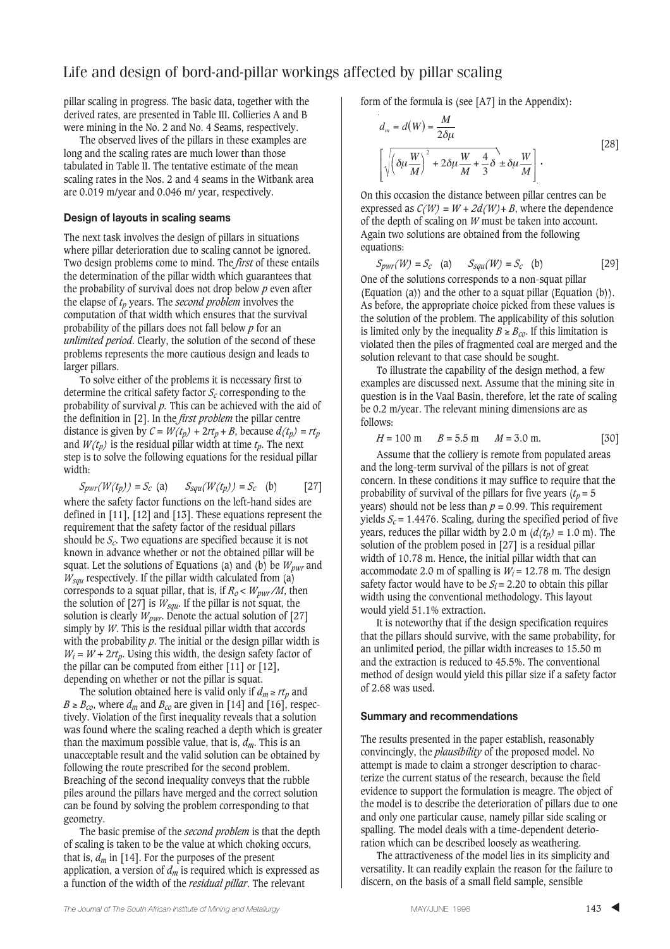pillar scaling in progress. The basic data, together with the derived rates, are presented in Table III. Collieries A and B were mining in the No. 2 and No. 4 Seams, respectively.

The observed lives of the pillars in these examples are long and the scaling rates are much lower than those tabulated in Table II. The tentative estimate of the mean scaling rates in the Nos. 2 and 4 seams in the Witbank area are 0.019 m/year and 0.046 m/ year, respectively.

### **Design of layouts in scaling seams**

The next task involves the design of pillars in situations where pillar deterioration due to scaling cannot be ignored. Two design problems come to mind. The *first* of these entails the determination of the pillar width which guarantees that the probability of survival does not drop below *p* even after the elapse of *tp* years. The *second problem* involves the computation of that width which ensures that the survival probability of the pillars does not fall below *p* for an *unlimited period*. Clearly, the solution of the second of these problems represents the more cautious design and leads to larger pillars.

To solve either of the problems it is necessary first to determine the critical safety factor *Sc* corresponding to the probability of survival *p.* This can be achieved with the aid of the definition in [2]. In the *first problem* the pillar centre distance is given by  $C = W(t_p) + 2rt_p + B$ , because  $d(t_p) = rt_p$ and  $W(t_p)$  is the residual pillar width at time  $t_p$ . The next step is to solve the following equations for the residual pillar width:

 $S_{pwr}(W(t_p)) = S_c$  (a)  $S_{squ}(W(t_p)) = S_c$  (b) [27] where the safety factor functions on the left-hand sides are defined in [11], [12] and [13]. These equations represent the requirement that the safety factor of the residual pillars should be  $S_c$ . Two equations are specified because it is not known in advance whether or not the obtained pillar will be squat. Let the solutions of Equations (a) and (b) be  $W_{\text{nwv}}$  and *W<sub>squ</sub>* respectively. If the pillar width calculated from (a) corresponds to a squat pillar, that is, if  $R_o \lt W_{\text{pwr}}/M$ , then the solution of  $[27]$  is  $W_{\text{sgn}}$ . If the pillar is not squat, the solution is clearly  $W_{\text{pwr}}$ . Denote the actual solution of [27] simply by *W*. This is the residual pillar width that accords with the probability *p*. The initial or the design pillar width is  $W_i = W + 2rt_p$ . Using this width, the design safety factor of the pillar can be computed from either [11] or [12], depending on whether or not the pillar is squat.

The solution obtained here is valid only if  $d_m \geq rt_n$  and  $B \ge B_{CO}$ , where  $d_m$  and  $B_{CO}$  are given in [14] and [16], respectively. Violation of the first inequality reveals that a solution was found where the scaling reached a depth which is greater than the maximum possible value, that is,  $d_m$ . This is an unacceptable result and the valid solution can be obtained by following the route prescribed for the second problem. Breaching of the second inequality conveys that the rubble piles around the pillars have merged and the correct solution can be found by solving the problem corresponding to that geometry.

The basic premise of the *second problem* is that the depth of scaling is taken to be the value at which choking occurs, that is,  $d_m$  in [14]. For the purposes of the present application, a version of  $d_m$  is required which is expressed as a function of the width of the *residual pillar*. The relevant

form of the formula is (see [A7] in the Appendix):

$$
d_m = d(W) = \frac{M}{2\delta\mu}
$$
  

$$
\left[\sqrt{\left(\delta\mu\frac{W}{M}\right)^2 + 2\delta\mu\frac{W}{M} + \frac{4}{3}\delta} \pm \delta\mu\frac{W}{M}\right].
$$
 [28]

On this occasion the distance between pillar centres can be expressed as  $C(W) = W + 2d(W) + B$ , where the dependence of the depth of scaling on *W* must be taken into account. Again two solutions are obtained from the following equations:

$$
S_{pwr}(W) = S_c \quad \text{(a)} \qquad S_{squ}(W) = S_c \quad \text{(b)} \tag{29}
$$

One of the solutions corresponds to a non-squat pillar (Equation (a)) and the other to a squat pillar (Equation  $(b)$ ). As before, the appropriate choice picked from these values is the solution of the problem. The applicability of this solution is limited only by the inequality  $B \geq B_{co}$ . If this limitation is violated then the piles of fragmented coal are merged and the solution relevant to that case should be sought.

To illustrate the capability of the design method, a few examples are discussed next. Assume that the mining site in question is in the Vaal Basin, therefore, let the rate of scaling be 0.2 m/year. The relevant mining dimensions are as follows:

$$
H = 100 \text{ m} \qquad B = 5.5 \text{ m} \qquad M = 3.0 \text{ m}.
$$
 [30]

Assume that the colliery is remote from populated areas and the long-term survival of the pillars is not of great concern. In these conditions it may suffice to require that the probability of survival of the pillars for five years  $(t_p = 5$ years) should not be less than  $p = 0.99$ . This requirement yields  $S_c$  = 1.4476. Scaling, during the specified period of five years, reduces the pillar width by 2.0 m  $(d(t_p) = 1.0 \text{ m})$ . The solution of the problem posed in [27] is a residual pillar width of 10.78 m. Hence, the initial pillar width that can accommodate 2.0 m of spalling is  $W_i$  = 12.78 m. The design safety factor would have to be  $S_i = 2.20$  to obtain this pillar width using the conventional methodology. This layout would yield 51.1% extraction.

It is noteworthy that if the design specification requires that the pillars should survive, with the same probability, for an unlimited period, the pillar width increases to 15.50 m and the extraction is reduced to 45.5%. The conventional method of design would yield this pillar size if a safety factor of 2.68 was used.

### **Summary and recommendations**

The results presented in the paper establish, reasonably convincingly, the *plausibility* of the proposed model. No attempt is made to claim a stronger description to characterize the current status of the research, because the field evidence to support the formulation is meagre. The object of the model is to describe the deterioration of pillars due to one and only one particular cause, namely pillar side scaling or spalling. The model deals with a time-dependent deterioration which can be described loosely as weathering.

The attractiveness of the model lies in its simplicity and versatility. It can readily explain the reason for the failure to discern, on the basis of a small field sample, sensible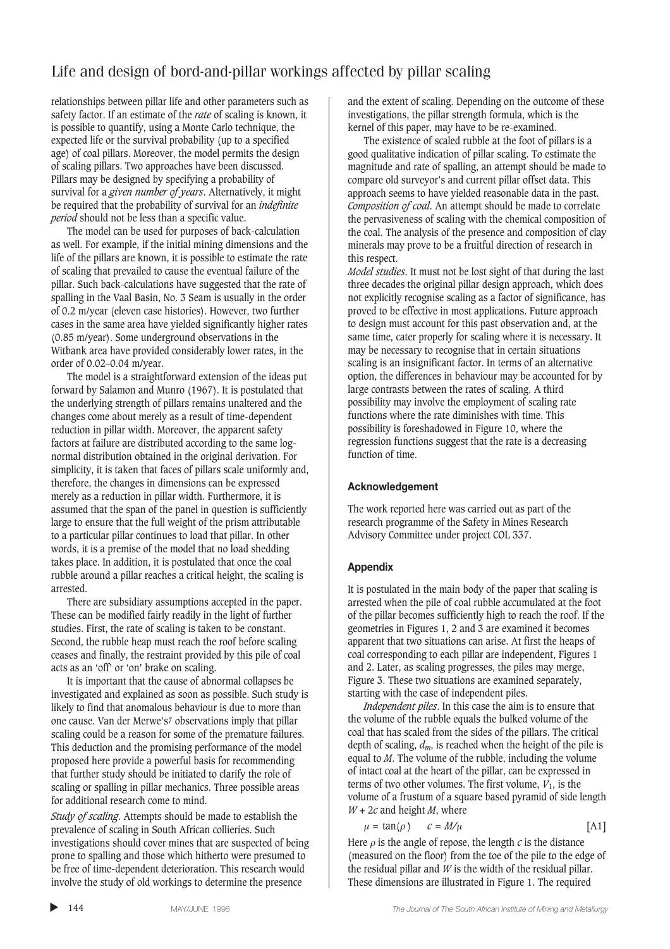relationships between pillar life and other parameters such as safety factor. If an estimate of the *rate* of scaling is known, it is possible to quantify, using a Monte Carlo technique, the expected life or the survival probability (up to a specified age) of coal pillars. Moreover, the model permits the design of scaling pillars. Two approaches have been discussed. Pillars may be designed by specifying a probability of survival for a *given number of years*. Alternatively, it might be required that the probability of survival for an *indefinite period* should not be less than a specific value.

The model can be used for purposes of back-calculation as well. For example, if the initial mining dimensions and the life of the pillars are known, it is possible to estimate the rate of scaling that prevailed to cause the eventual failure of the pillar. Such back-calculations have suggested that the rate of spalling in the Vaal Basin, No. 3 Seam is usually in the order of 0.2 m/year (eleven case histories). However, two further cases in the same area have yielded significantly higher rates (0.85 m/year). Some underground observations in the Witbank area have provided considerably lower rates, in the order of 0.02–0.04 m/year.

The model is a straightforward extension of the ideas put forward by Salamon and Munro (1967). It is postulated that the underlying strength of pillars remains unaltered and the changes come about merely as a result of time-dependent reduction in pillar width. Moreover, the apparent safety factors at failure are distributed according to the same lognormal distribution obtained in the original derivation. For simplicity, it is taken that faces of pillars scale uniformly and, therefore, the changes in dimensions can be expressed merely as a reduction in pillar width. Furthermore, it is assumed that the span of the panel in question is sufficiently large to ensure that the full weight of the prism attributable to a particular pillar continues to load that pillar. In other words, it is a premise of the model that no load shedding takes place. In addition, it is postulated that once the coal rubble around a pillar reaches a critical height, the scaling is arrested.

There are subsidiary assumptions accepted in the paper. These can be modified fairly readily in the light of further studies. First, the rate of scaling is taken to be constant. Second, the rubble heap must reach the roof before scaling ceases and finally, the restraint provided by this pile of coal acts as an 'off' or 'on' brake on scaling.

It is important that the cause of abnormal collapses be investigated and explained as soon as possible. Such study is likely to find that anomalous behaviour is due to more than one cause. Van der Merwe's7 observations imply that pillar scaling could be a reason for some of the premature failures. This deduction and the promising performance of the model proposed here provide a powerful basis for recommending that further study should be initiated to clarify the role of scaling or spalling in pillar mechanics. Three possible areas for additional research come to mind.

*Study of scaling*. Attempts should be made to establish the prevalence of scaling in South African collieries. Such investigations should cover mines that are suspected of being prone to spalling and those which hitherto were presumed to be free of time-dependent deterioration. This research would involve the study of old workings to determine the presence

and the extent of scaling. Depending on the outcome of these investigations, the pillar strength formula, which is the kernel of this paper, may have to be re-examined.

The existence of scaled rubble at the foot of pillars is a good qualitative indication of pillar scaling. To estimate the magnitude and rate of spalling, an attempt should be made to compare old surveyor's and current pillar offset data. This approach seems to have yielded reasonable data in the past. *Composition of coal*. An attempt should be made to correlate the pervasiveness of scaling with the chemical composition of the coal. The analysis of the presence and composition of clay minerals may prove to be a fruitful direction of research in this respect.

*Model studies*. It must not be lost sight of that during the last three decades the original pillar design approach, which does not explicitly recognise scaling as a factor of significance, has proved to be effective in most applications. Future approach to design must account for this past observation and, at the same time, cater properly for scaling where it is necessary. It may be necessary to recognise that in certain situations scaling is an insignificant factor. In terms of an alternative option, the differences in behaviour may be accounted for by large contrasts between the rates of scaling. A third possibility may involve the employment of scaling rate functions where the rate diminishes with time. This possibility is foreshadowed in Figure 10, where the regression functions suggest that the rate is a decreasing function of time.

### **Acknowledgement**

The work reported here was carried out as part of the research programme of the Safety in Mines Research Advisory Committee under project COL 337.

### **Appendix**

It is postulated in the main body of the paper that scaling is arrested when the pile of coal rubble accumulated at the foot of the pillar becomes sufficiently high to reach the roof. If the geometries in Figures 1, 2 and 3 are examined it becomes apparent that two situations can arise. At first the heaps of coal corresponding to each pillar are independent, Figures 1 and 2. Later, as scaling progresses, the piles may merge, Figure 3. These two situations are examined separately, starting with the case of independent piles.

*Independent piles*. In this case the aim is to ensure that the volume of the rubble equals the bulked volume of the coal that has scaled from the sides of the pillars. The critical depth of scaling, *dm*, is reached when the height of the pile is equal to *M*. The volume of the rubble, including the volume of intact coal at the heart of the pillar, can be expressed in terms of two other volumes. The first volume,  $V_1$ , is the volume of a frustum of a square based pyramid of side length *W* + 2*c* and height *M*, where

$$
\mu = \tan(\rho) \qquad c = M/\mu \tag{A1}
$$

Here  $\rho$  is the angle of repose, the length  $c$  is the distance (measured on the floor) from the toe of the pile to the edge of the residual pillar and  $W$  is the width of the residual pillar. These dimensions are illustrated in Figure 1. The required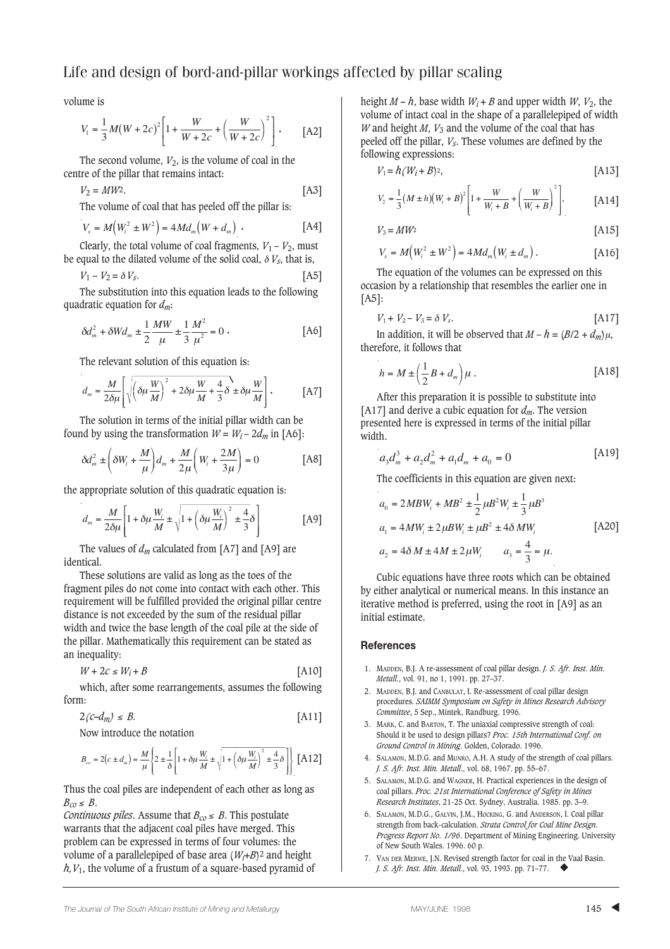volume is

$$
V_1 = \frac{1}{3}M(W + 2c)^2 \left[1 + \frac{W}{W + 2c} + \left(\frac{W}{W + 2c}\right)^2\right].
$$
 [A2]

The second volume,  $V_2$ , is the volume of coal in the centre of the pillar that remains intact:

$$
V_2 = MW^2. \tag{A3}
$$

The volume of coal that has peeled off the pillar is:

$$
V_s = M(W_i^2 \pm W^2) = 4Md_m(W + d_m)
$$
 (A4)

Clearly, the total volume of coal fragments,  $V_1 - V_2$ , must be equal to the dilated volume of the solid coal,  $\delta V_s$ , that is,

$$
V_1 - V_2 = \delta V_s. \tag{A5}
$$

The substitution into this equation leads to the following quadratic equation for *dm*:

$$
\delta d_m^2 + \delta W d_m \pm \frac{1}{2} \frac{MW}{\mu} \pm \frac{1}{3} \frac{M^2}{\mu^2} = 0 \tag{A6}
$$

The relevant solution of this equation is:

$$
d_m = \frac{M}{2\delta\mu} \left[ \sqrt{\left(\delta\mu \frac{W}{M}\right)^2 + 2\delta\mu \frac{W}{M} + \frac{4}{3}\delta} \pm \delta\mu \frac{W}{M} \right].
$$
 [A7]

The solution in terms of the initial pillar width can be found by using the transformation  $W = W_i - 2d_m$  in [A6]:

$$
\delta d_m^2 \pm \left( \delta W_i + \frac{M}{\mu} \right) d_m + \frac{M}{2\mu} \left( W_i + \frac{2M}{3\mu} \right) = 0
$$
 [A8]

the appropriate solution of this quadratic equation is:

$$
d_m = \frac{M}{2\delta\mu} \left[ 1 + \delta\mu \frac{W_i}{M} \pm \sqrt{1 + \left( \delta\mu \frac{W_i}{M} \right)^2 \pm \frac{4}{3} \delta} \right]
$$
 [A9]

The values of  $d_m$  calculated from [A7] and [A9] are identical.

These solutions are valid as long as the toes of the fragment piles do not come into contact with each other. This requirement will be fulfilled provided the original pillar centre distance is not exceeded by the sum of the residual pillar width and twice the base length of the coal pile at the side of the pillar. Mathematically this requirement can be stated as an inequality:

$$
W + 2c \le W_i + B \tag{A10}
$$

which, after some rearrangements, assumes the following form:

$$
2(c-d_m) \leq B. \tag{A11}
$$

Now introduce the notation

$$
B_{co}=2\Big(c\pm d_m\Big)=\frac{M}{\mu}\left\{2\pm\frac{1}{\delta}\left[1+\delta\mu\frac{W_i}{M}\pm\sqrt{1+\left(\delta\mu\frac{W_i}{M}\right)^2\pm\frac{4}{3}\delta}\,\right]\right\}\text{ [A12]}
$$

Thus the coal piles are independent of each other as long as  $B<sub>co</sub> ≤ B$ .

*Continuous piles.* Assume that  $B_{c0} \leq B$ . This postulate warrants that the adjacent coal piles have merged. This problem can be expressed in terms of four volumes: the volume of a parallelepiped of base area (*Wi*+*B*)2 and height *h,V*1, the volume of a frustum of a square-based pyramid of height  $M - h$ , base width  $W_i + B$  and upper width  $W$ ,  $V_2$ , the volume of intact coal in the shape of a parallelepiped of width *W* and height *M*,  $V_3$  and the volume of the coal that has peeled off the pillar, *Vs*. These volumes are defined by the following expressions:

$$
V_1 = h(W_i + B)^2, \tag{A13}
$$

$$
V_2 = \frac{1}{3}(M \pm h)(W_i + B)^2 \left[1 + \frac{W}{W_i + B} + \left(\frac{W}{W_i + B}\right)^2\right],
$$
 [A14]

$$
V_3 = MW^2 \tag{A15}
$$

$$
V_s = M(W_i^2 \pm W^2) = 4Md_m(W_i \pm d_m).
$$
 [A16]

The equation of the volumes can be expressed on this occasion by a relationship that resembles the earlier one in [A5]:

$$
V_1 + V_2 - V_3 = \delta V_s. \tag{A17}
$$

In addition, it will be observed that  $M - h = (B/2 + d_m) \mu$ , therefore, it follows that

$$
h = M \pm \left(\frac{1}{2}B + d_m\right)\mu.
$$
 [A18]

After this preparation it is possible to substitute into [A17] and derive a cubic equation for *dm*. The version presented here is expressed in terms of the initial pillar width.

$$
a_3 d_m^3 + a_2 d_m^2 + a_1 d_m + a_0 = 0
$$
 [A19]

The coefficients in this equation are given next:

$$
a_0 = 2MBW_i + MB^2 \pm \frac{1}{2}\mu B^2 W_i \pm \frac{1}{3}\mu B^3
$$
  
\n
$$
a_1 = 4MW_i \pm 2\mu BW_i \pm \mu B^2 \pm 4\delta MW_i
$$
\n
$$
a_2 = 4\delta M \pm 4M \pm 2\mu W_i
$$
\n
$$
a_3 = \frac{4}{3} = \mu.
$$
\n[A20]

Cubic equations have three roots which can be obtained by either analytical or numerical means. In this instance an iterative method is preferred, using the root in [A9] as an initial estimate.

#### **References**

- 1. MADDEN, B.J. A re-assessment of coal pillar design. *J. S. Afr. Inst. Min. Metall.*, vol. 91, no 1, 1991. pp. 27–37.
- 2. MADDEN, B.J. and CANBULAT, I. Re-assessment of coal pillar design procedures. *SAIMM Symposium on Safety in Mines Research Advisory Committee*, 5 Sep., Mintek, Randburg. 1996.
- 3. MARK, C. and BARTON, T. The uniaxial compressive strength of coal: Should it be used to design pillars? *Proc. 15th International Conf. on Ground Control in Mining*. Golden, Colorado. 1996.
- 4. SALAMON, M.D.G. and MUNRO, A.H. A study of the strength of coal pillars. *J. S. Afr. Inst. Min. Metall*., vol. 68, 1967. pp. 55–67.
- 5. SALAMON, M.D.G. and WAGNER, H. Practical experiences in the design of coal pillars. *Proc. 21st International Conference of Safety in Mines Research Institutes*, 21-25 Oct. Sydney, Australia. 1985. pp. 3–9.
- 6. SALAMON, M.D.G., GALVIN, J.M., HOCKING, G. and ANDERSON, I. Coal pillar strength from back-calculation. *Strata Control for Coal Mine Design*. *Progress Report No. 1/96*. Department of Mining Engineering. University of New South Wales. 1996. 60 p.
- 7. VAN DER MERWE, J.N. Revised strength factor for coal in the Vaal Basin. *J. S. Afr. Inst. Min. Metall*., vol. 93, 1993. pp. 71–77. ◆